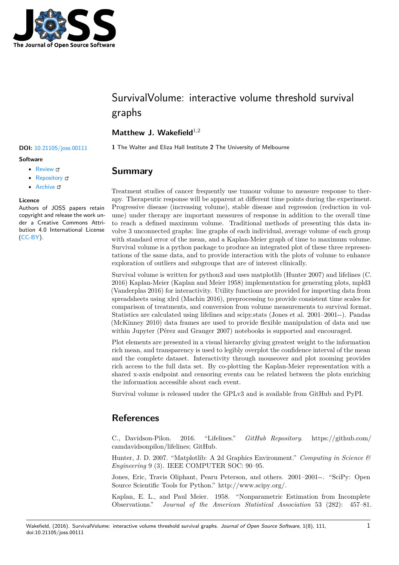

# SurvivalVolume: interactive volume threshold survival graphs

## **Matthew J. Wakefield**<sup>1,2</sup>

### **Software**

- Review C
- [Repository](https://doi.org/10.21105/joss.00111) &
- Archive L'

### **Licence**

Autho[rs of JOSS](https://github.com/genomematt/survivalvolume) papers retain copyright and release the work under a [Creativ](http://dx.doi.org/10.5281/zenodo.200268)e Commons Attribution 4.0 International License (CC-BY).

**DOI:** 10.21105/joss.00111 **1** The Walter and Eliza Hall Institute **2** The University of Melbourne

# **Summary**

Treatment studies of cancer frequently use tumour volume to measure response to therapy. Therapeutic response will be apparent at different time points during the experiment. Progressive disease (increasing volume), stable disease and regression (reduction in volume) under therapy are important measures of response in addition to the overall time to reach a defined maximum volume. Traditional methods of presenting this data involve 3 unconnected graphs: line graphs of each individual, average volume of each group with standard error of the mean, and a Kaplan-Meier graph of time to maximum volume. Survival volume is a python package to produce an integrated plot of these three representations of the same data, and to provide interaction with the plots of volume to enhance exploration of outliers and subgroups that are of interest clinically.

Survival volume is written for python3 and uses matplotlib (Hunter 2007) and lifelines (C. 2016) Kaplan-Meier (Kaplan and Meier 1958) implementation for generating plots, mpld3 (Vanderplas 2016) for interactivity. Utility functions are provided for importing data from spreadsheets using xlrd (Machin 2016), preprocessing to provide consistent time scales for comparison of treatments, and conversion from volume measurements to survival format. Statistics are calculated using lifelines and scipy.stats (Jones et al. 2001–2001--). Pandas (McKinney 2010) data frames are used to provide flexible manipulation of data and use within Jupyter (Pérez and Granger 2007) notebooks is supported and encouraged.

Plot elements are presented in a visual hierarchy giving greatest weight to the information rich mean, and transparency is used to legibly overplot the confidence interval of the mean and the complete dataset. Interactivity through mouseover and plot zooming provides rich access to the full data set. By co-plotting the Kaplan-Meier representation with a shared x-axis endpoint and censoring events can be related between the plots enriching the information accessible about each event.

Survival volume is released under the GPLv3 and is available from GitHub and PyPI.

# **References**

C., Davidson-Pilon. 2016. "Lifelines." *GitHub Repository*. https://github.com/ camdavidsonpilon/lifelines; GitHub.

Hunter, J. D. 2007. "Matplotlib: A 2d Graphics Environment." *Computing in Science & Engineering* 9 (3). IEEE COMPUTER SOC: 90–95.

[Jones, Eric, Travis Olipha](https://github.com/camdavidsonpilon/lifelines)nt, Pearu Peterson, and others. 2001–20[01--. "SciPy: Open](https://github.com/camdavidsonpilon/lifelines) Source Scientific Tools for Python." http://www.scipy.org/.

Kaplan, E. L., and Paul Meier. 1958. "Nonparametric Estimation from Incomplete Observations." *Journal of the American Statistical Association* 53 (282): 457–81.